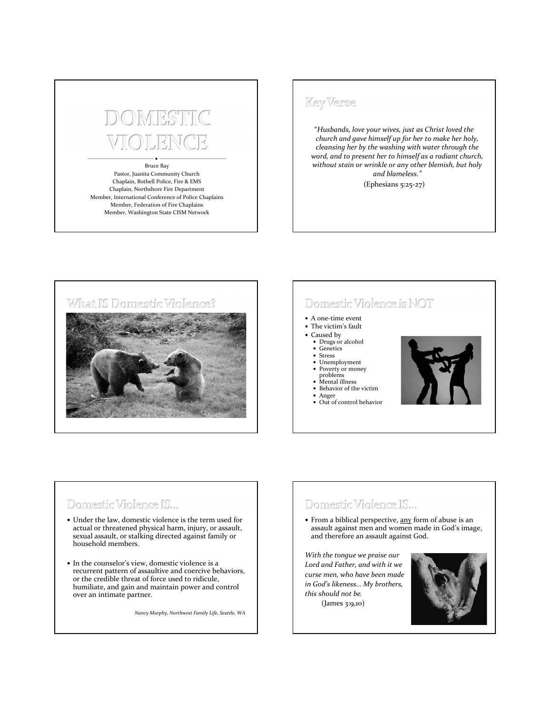# DMRG

#### Bruce Ray Pastor, Juanita Community Church Chaplain, Bothell Police, Fire & EMS Chaplain, Northshore Fire Department Member, International Conference of Police Chaplains Member, Federation of Fire Chaplains Member, Washington State CISM Network

#### **Key Verse**

"*Husbands, love your wives, just as Christ loved the church and gave himself up for her to make her holy, cleansing her by the washing with water through the word, and to present her to himself as a radiant church, without stain or wrinkle or any other blemish, but holy and blameless."* (Ephesians 5:25-27)



## Domestic Violence is NOT

- A one-time event
- The victim's fault
- Caused by
	- Drugs or alcohol **Genetics**
	- **Stress**
	- Unemployment
	- Poverty or money
	- problems • Mental illness
	-
	- Behavior of the victim Anger
	- Out of control behavior



## Domestic Violence IS...

- Under the law, domestic violence is the term used for actual or threatened physical harm, injury, or assault, sexual assault, or stalking directed against family or household members.
- In the counselor's view, domestic violence is a recurrent pattern of assaultive and coercive behaviors, or the credible threat of force used to ridicule, humiliate, and gain and maintain power and control over an intimate partner.

*Nancy Murphy, Northwest Family Life, Seattle, WA*

## Domestic Violence IS...

• From a biblical perspective, any form of abuse is an assault against men and women made in God's image, and therefore an assault against God.

*With the tongue we praise our Lord and Father, and with it we curse men, who have been made in God's likeness… My brothers, this should not be.* (James 3:9,10)

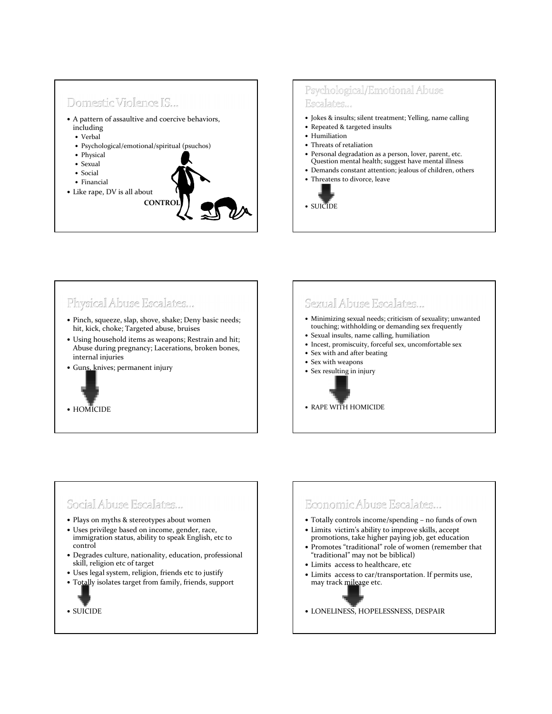

#### Psychological/Emotional Abuse Escalates...

- Jokes & insults; silent treatment; Yelling, name calling
- Repeated & targeted insults
- Humiliation
- Threats of retaliation
- Personal degradation as a person, lover, parent, etc. Question mental health; suggest have mental illness
- Demands constant attention; jealous of children, others
- Threatens to divorce, leave



## Physical Abuse Escalates...

- Pinch, squeeze, slap, shove, shake; Deny basic needs; hit, kick, choke; Targeted abuse, bruises
- Using household items as weapons; Restrain and hit; Abuse during pregnancy; Lacerations, broken bones, internal injuries
- Guns, knives; permanent injury



#### Sexual Abuse Escalates...

- Minimizing sexual needs; criticism of sexuality; unwanted touching; withholding or demanding sex frequently
- Sexual insults, name calling, humiliation
- Incest, promiscuity, forceful sex, uncomfortable sex
- Sex with and after beating
- Sex with weapons
- Sex resulting in injury

RAPE WITH HOMICIDE

## Social Abuse Escalates...

- Plays on myths & stereotypes about women
- Uses privilege based on income, gender, race, immigration status, ability to speak English, etc to control
- Degrades culture, nationality, education, professional skill, religion etc of target
- Uses legal system, religion, friends etc to justify
- Totally isolates target from family, friends, support

SUICIDE

## Economic Abuse Escalates...

- Totally controls income/spending no funds of own
- Limits victim's ability to improve skills, accept promotions, take higher paying job, get education
- Promotes "traditional" role of women (remember that "traditional" may not be biblical)
- Limits access to healthcare, etc
- Limits access to car/transportation. If permits use, may track mileage etc.
- LONELINESS, HOPELESSNESS, DESPAIR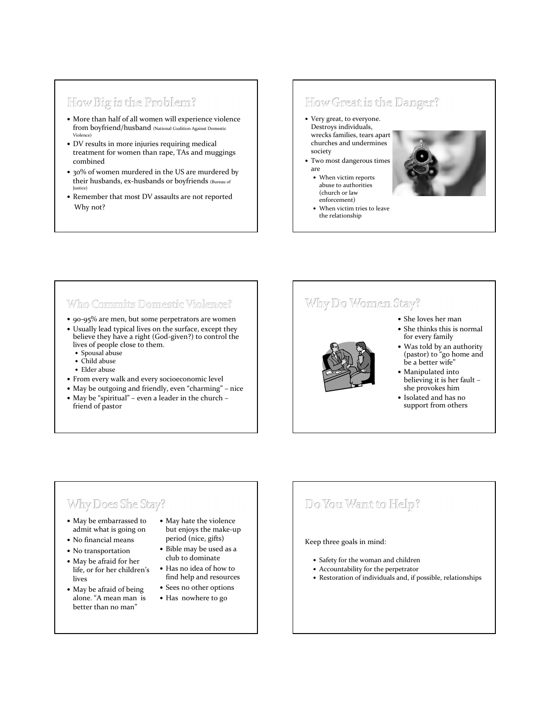## How Big is the Problem?

- More than half of all women will experience violence from boyfriend/husband (National Coalition Against Domestic Violence)
- DV results in more injuries requiring medical treatment for women than rape, TAs and muggings combined
- 30% of women murdered in the US are murdered by their husbands, ex-husbands or boyfriends (Bureau of Justice)
- Remember that most DV assaults are not reported Why not?

#### How Great is the Danger?

- Very great, to everyone. Destroys individuals, wrecks families, tears apart churches and undermines society
- Two most dangerous times are
	- When victim reports abuse to authorities (church or law enforcement)
	- When victim tries to leave the relationship



#### Who Commits Domestic Violence?

- 90-95% are men, but some perpetrators are women
- Usually lead typical lives on the surface, except they believe they have a right (God-given?) to control the lives of people close to them.
	- Spousal abuse
	- Child abuse
	- Elder abuse
- From every walk and every socioeconomic level
- May be outgoing and friendly, even "charming" nice May be "spiritual" – even a leader in the church –

## friend of pastor

## Why Do Women Stay?

- She loves her man
- She thinks this is normal for every family



- Was told by an authority (pastor) to "go home and be a better wife"
- Manipulated into believing it is her fault – she provokes him
- Isolated and has no support from others

## Why Does She Stay?

- May be embarrassed to admit what is going on
- No financial means
- No transportation
- May be afraid for her life, or for her children's lives
- May be afraid of being alone. "A mean man is better than no man"
- May hate the violence but enjoys the make-up period (nice, gifts)
- Bible may be used as a club to dominate
- Has no idea of how to find help and resources
- Sees no other options
- Has nowhere to go

## Do You Want to Help?

#### Keep three goals in mind:

- Safety for the woman and children
- Accountability for the perpetrator
- Restoration of individuals and, if possible, relationships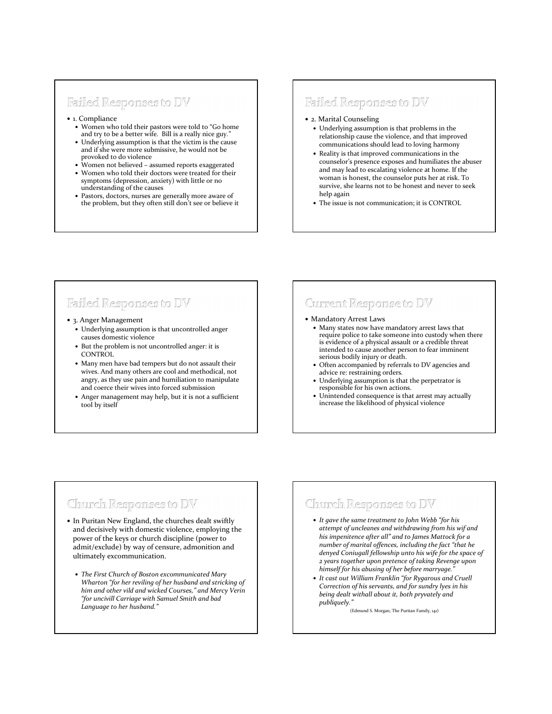#### Failed Responses to DV

- 1. Compliance
	- Women who told their pastors were told to "Go home and try to be a better wife. Bill is a really nice guy."
	- Underlying assumption is that the victim is the cause and if she were more submissive, he would not be provoked to do violence
	- Women not believed assumed reports exaggerated
	- Women who told their doctors were treated for their symptoms (depression, anxiety) with little or no understanding of the causes
	- Pastors, doctors, nurses are generally more aware of the problem, but they often still don't see or believe it

#### Failed Responses to DV

- 2. Marital Counseling
	- Underlying assumption is that problems in the relationship cause the violence, and that improved communications should lead to loving harmony
	- Reality is that improved communications in the counselor's presence exposes and humiliates the abuser and may lead to escalating violence at home. If the woman is honest, the counselor puts her at risk. To survive, she learns not to be honest and never to seek help again
- The issue is not communication; it is CONTROL

## Failed Responses to DV

- 3. Anger Management
	- Underlying assumption is that uncontrolled anger causes domestic violence
	- But the problem is not uncontrolled anger: it is **CONTROL**
	- Many men have bad tempers but do not assault their wives. And many others are cool and methodical, not angry, as they use pain and humiliation to manipulate and coerce their wives into forced submission
	- Anger management may help, but it is not a sufficient tool by itself

## Current Response to DV

#### Mandatory Arrest Laws

- Many states now have mandatory arrest laws that require police to take someone into custody when there is evidence of a physical assault or a credible threat intended to cause another person to fear imminent serious bodily injury or death.
- Often accompanied by referrals to DV agencies and advice re: restraining orders.
- Underlying assumption is that the perpetrator is responsible for his own actions.
- Unintended consequence is that arrest may actually increase the likelihood of physical violence

## Church Responses to DV

- In Puritan New England, the churches dealt swiftly and decisively with domestic violence, employing the power of the keys or church discipline (power to admit/exclude) by way of censure, admonition and ultimately excommunication.
	- *The First Church of Boston excommunicated Mary Wharton "for her reviling of her husband and stricking of him and other vild and wicked Courses," and Mercy Verin "for uncivill Carriage with Samuel Smith and bad Language to her husband."*

## Church Responses to DV

- *It gave the same treatment to John Webb "for his attempt of uncleanes and withdrawing from his wif and his impenitence after all" and to James Mattock for a number of marital offences, including the fact "that he denyed Coniugall fellowship unto his wife for the space of 2 years together upon pretence of taking Revenge upon himself for his abusing of her before marryage."*
- *It cast out William Franklin "for Rygarous and Cruell Correction of his servants, and for sundry lyes in his being dealt withall about it, both pryvately and publiquely."*

(Edmund S. Morgan, The Puritan Family, 141)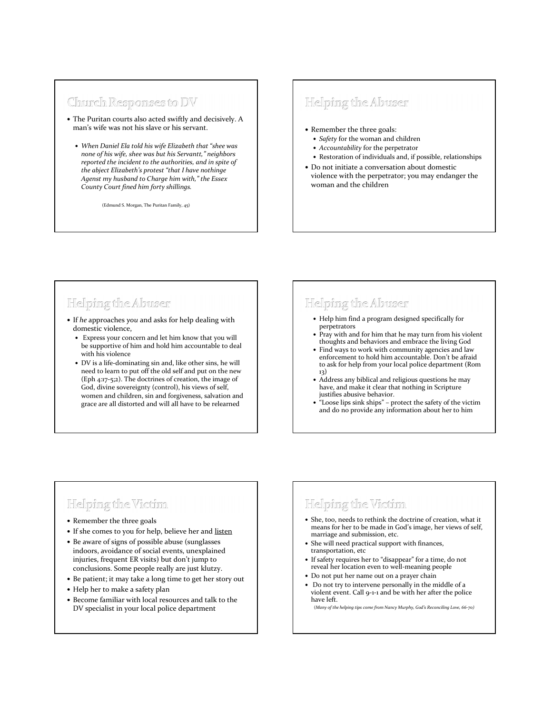#### Church Responses to DV

- The Puritan courts also acted swiftly and decisively. A man's wife was not his slave or his servant.
	- *When Daniel Ela told his wife Elizabeth that "shee was none of his wife, shee was but his Servantt," neighbors reported the incident to the authorities, and in spite of the abject Elizabeth's protest "that I have nothinge Agenst my husband to Charge him with," the Essex County Court fined him forty shillings.*

(Edmund S. Morgan, The Puritan Family, 45)

## Helping the Abuser

- Remember the three goals:
	- *Safety* for the woman and children
	- *Accountability* for the perpetrator
	- Restoration of individuals and, if possible, relationships
- Do not initiate a conversation about domestic violence with the perpetrator; you may endanger the woman and the children

## Helping the Abuser

- If *he* approaches *you* and asks for help dealing with domestic violence,
	- Express your concern and let him know that you will be supportive of him and hold him accountable to deal with his violence
	- DV is a life-dominating sin and, like other sins, he will need to learn to put off the old self and put on the new (Eph 4:17-5;2). The doctrines of creation, the image of God, divine sovereignty (control), his views of self, women and children, sin and forgiveness, salvation and grace are all distorted and will all have to be relearned

## Helping the Abuser

- Help him find a program designed specifically for perpetrators
- Pray with and for him that he may turn from his violent thoughts and behaviors and embrace the living God
- Find ways to work with community agencies and law enforcement to hold him accountable. Don't be afraid to ask for help from your local police department (Rom 13)
- Address any biblical and religious questions he may have, and make it clear that nothing in Scripture justifies abusive behavior.
- "Loose lips sink ships" protect the safety of the victim and do no provide any information about her to him

## Helping the Victim

- Remember the three goals
- If she comes to you for help, believe her and listen
- Be aware of signs of possible abuse (sunglasses indoors, avoidance of social events, unexplained injuries, frequent ER visits) but don't jump to conclusions. Some people really are just klutzy.
- Be patient; it may take a long time to get her story out
- Help her to make a safety plan
- Become familiar with local resources and talk to the DV specialist in your local police department

## Helping the Victim

- She, too, needs to rethink the doctrine of creation, what it means for her to be made in God's image, her views of self, marriage and submission, etc.
- She will need practical support with finances, transportation, etc
- If safety requires her to "disappear" for a time, do not reveal her location even to well-meaning people
- Do not put her name out on a prayer chain
- Do not try to intervene personally in the middle of a violent event. Call 9-1-1 and be with her after the police have left.

(*Many of the helping tips come from Nancy Murphy, God's Reconciling Love, 66-70)*